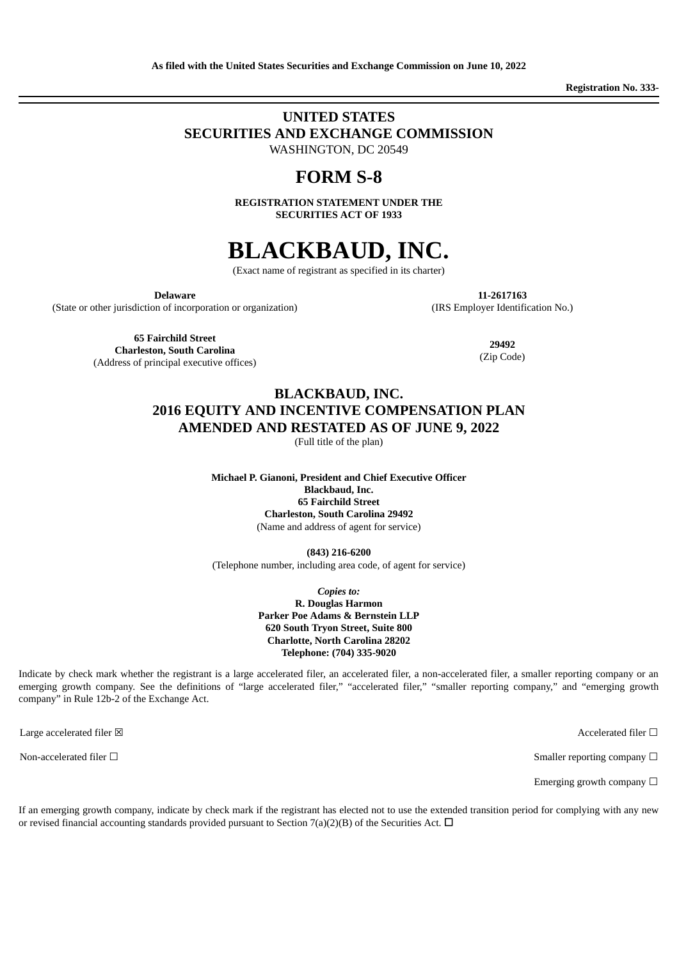**Registration No. 333-**

# **UNITED STATES SECURITIES AND EXCHANGE COMMISSION**

WASHINGTON, DC 20549

# **FORM S-8**

**REGISTRATION STATEMENT UNDER THE SECURITIES ACT OF 1933**

# **BLACKBAUD, INC.**

(Exact name of registrant as specified in its charter)

**Delaware** (State or other jurisdiction of incorporation or organization)

**11-2617163** (IRS Employer Identification No.)

**65 Fairchild Street Charleston, South Carolina** (Address of principal executive offices)

**29492** (Zip Code)

# **BLACKBAUD, INC. 2016 EQUITY AND INCENTIVE COMPENSATION PLAN AMENDED AND RESTATED AS OF JUNE 9, 2022**

(Full title of the plan)

**Michael P. Gianoni, President and Chief Executive Officer Blackbaud, Inc. 65 Fairchild Street Charleston, South Carolina 29492** (Name and address of agent for service)

**(843) 216-6200** (Telephone number, including area code, of agent for service)

> *Copies to:* **R. Douglas Harmon Parker Poe Adams & Bernstein LLP 620 South Tryon Street, Suite 800 Charlotte, North Carolina 28202 Telephone: (704) 335-9020**

Indicate by check mark whether the registrant is a large accelerated filer, an accelerated filer, a non-accelerated filer, a smaller reporting company or an emerging growth company. See the definitions of "large accelerated filer," "accelerated filer," "smaller reporting company," and "emerging growth company" in Rule 12b-2 of the Exchange Act.

Large accelerated filer ⊠ and  $\Box$  Accelerated filer  $\Box$ 

Non-accelerated filer ☐ Smaller reporting company ☐

Emerging growth company  $\Box$ 

If an emerging growth company, indicate by check mark if the registrant has elected not to use the extended transition period for complying with any new or revised financial accounting standards provided pursuant to Section 7(a)(2)(B) of the Securities Act.  $\Box$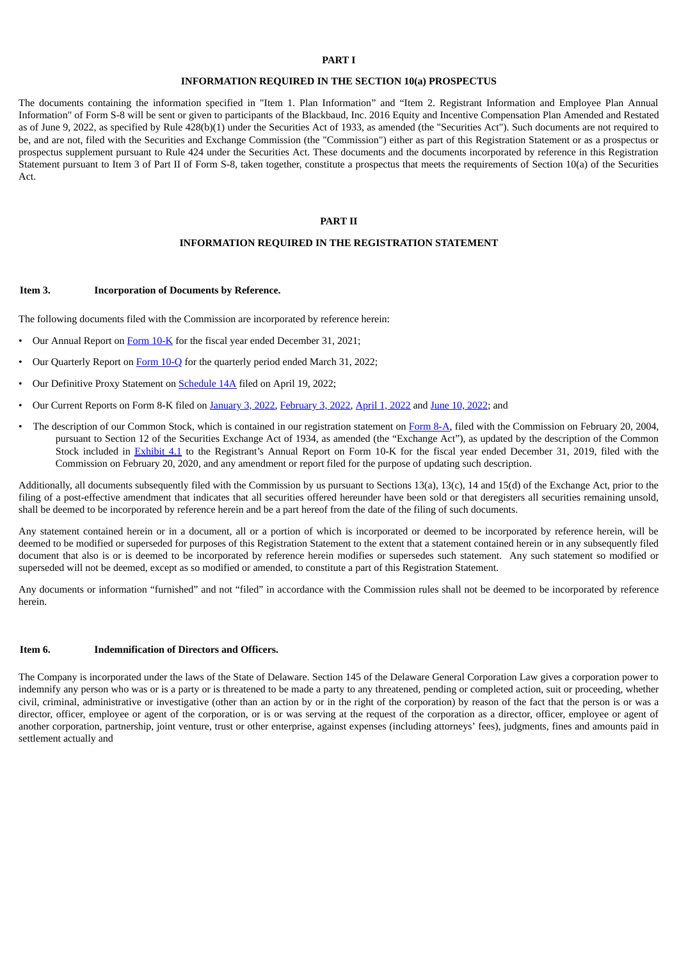#### **PART I**

## **INFORMATION REQUIRED IN THE SECTION 10(a) PROSPECTUS**

The documents containing the information specified in "Item 1. Plan Information" and "Item 2. Registrant Information and Employee Plan Annual Information" of Form S-8 will be sent or given to participants of the Blackbaud, Inc. 2016 Equity and Incentive Compensation Plan Amended and Restated as of June 9, 2022, as specified by Rule 428(b)(1) under the Securities Act of 1933, as amended (the "Securities Act"). Such documents are not required to be, and are not, filed with the Securities and Exchange Commission (the "Commission") either as part of this Registration Statement or as a prospectus or prospectus supplement pursuant to Rule 424 under the Securities Act. These documents and the documents incorporated by reference in this Registration Statement pursuant to Item 3 of Part II of Form S-8, taken together, constitute a prospectus that meets the requirements of Section 10(a) of the Securities Act.

#### **PART II**

#### **INFORMATION REQUIRED IN THE REGISTRATION STATEMENT**

#### **Item 3. Incorporation of Documents by Reference.**

The following documents filed with the Commission are incorporated by reference herein:

- Our Annual Report on [Form](https://www.sec.gov/ix?doc=/Archives/edgar/data/1280058/000128005822000010/blkb-20211231.htm) 10-K for the fiscal year ended December 31, 2021;
- Our Quarterly Report on [Form](https://www.sec.gov/ix?doc=/Archives/edgar/data/1280058/000128005822000021/blkb-20220331.htm) 10-Q for the quarterly period ended March 31, 2022;
- Our Definitive Proxy Statement on [Schedule](https://www.sec.gov/Archives/edgar/data/1280058/000128005822000014/def14aapr2022.htm) 14A filed on April 19, 2022;
- Our Current Reports on Form 8-K filed on [January](https://www.sec.gov/ix?doc=/Archives/edgar/data/1280058/000128005822000002/blkb-20211230.htm) 3, 2022, [February](https://www.sec.gov/ix?doc=/Archives/edgar/data/1280058/000128005822000005/blkb-20220131.htm) 3, 2022, [April](https://www.sec.gov/ix?doc=/Archives/edgar/data/1280058/000114036122012665/ny20001953x7_8k.htm) 1, 2022 and June 10, [2022](https://www.sec.gov/ix?doc=/Archives/edgar/data/1280058/000128005822000027/blkb-20220609.htm); and
- The description of our Common Stock, which is contained in our registration statement on [Form](http://www.sec.gov/Archives/edgar/data/1280058/000095014404001547/g872698ae8va12g.htm) 8-A, filed with the Commission on February 20, 2004, pursuant to Section 12 of the Securities Exchange Act of 1934, as amended (the "Exchange Act"), as updated by the description of the Common Stock included in [Exhibit](https://www.sec.gov/Archives/edgar/data/1280058/000128005820000011/a201910-kexx41.htm) 4.1 to the Registrant's Annual Report on Form 10-K for the fiscal year ended December 31, 2019, filed with the Commission on February 20, 2020, and any amendment or report filed for the purpose of updating such description.

Additionally, all documents subsequently filed with the Commission by us pursuant to Sections 13(a), 13(c), 14 and 15(d) of the Exchange Act, prior to the filing of a post-effective amendment that indicates that all securities offered hereunder have been sold or that deregisters all securities remaining unsold, shall be deemed to be incorporated by reference herein and be a part hereof from the date of the filing of such documents.

Any statement contained herein or in a document, all or a portion of which is incorporated or deemed to be incorporated by reference herein, will be deemed to be modified or superseded for purposes of this Registration Statement to the extent that a statement contained herein or in any subsequently filed document that also is or is deemed to be incorporated by reference herein modifies or supersedes such statement. Any such statement so modified or superseded will not be deemed, except as so modified or amended, to constitute a part of this Registration Statement.

Any documents or information "furnished" and not "filed" in accordance with the Commission rules shall not be deemed to be incorporated by reference herein.

#### **Item 6. Indemnification of Directors and Officers.**

The Company is incorporated under the laws of the State of Delaware. Section 145 of the Delaware General Corporation Law gives a corporation power to indemnify any person who was or is a party or is threatened to be made a party to any threatened, pending or completed action, suit or proceeding, whether civil, criminal, administrative or investigative (other than an action by or in the right of the corporation) by reason of the fact that the person is or was a director, officer, employee or agent of the corporation, or is or was serving at the request of the corporation as a director, officer, employee or agent of another corporation, partnership, joint venture, trust or other enterprise, against expenses (including attorneys' fees), judgments, fines and amounts paid in settlement actually and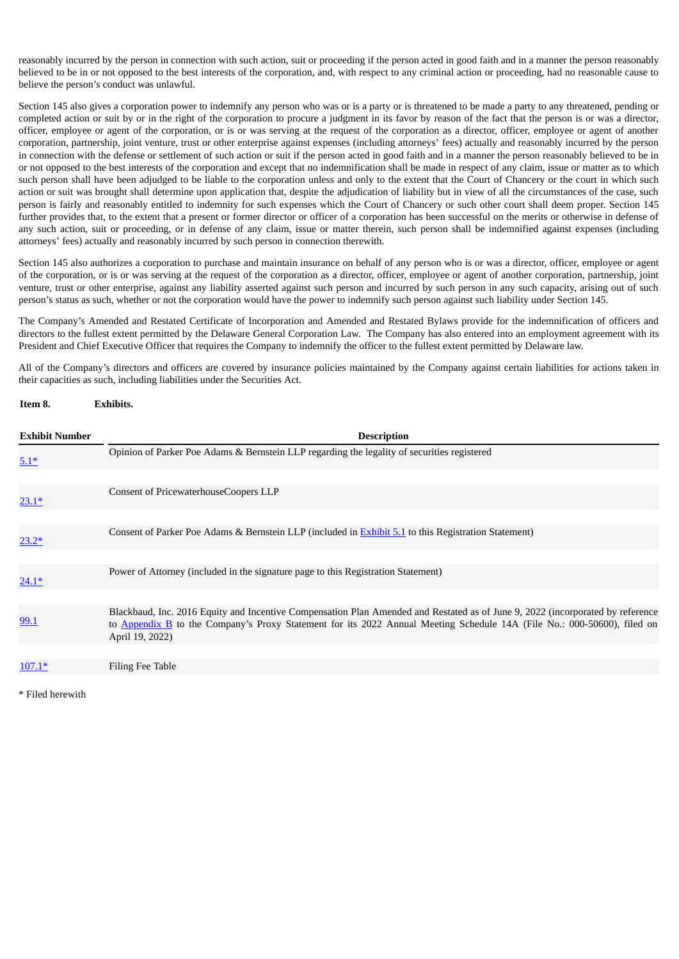reasonably incurred by the person in connection with such action, suit or proceeding if the person acted in good faith and in a manner the person reasonably believed to be in or not opposed to the best interests of the corporation, and, with respect to any criminal action or proceeding, had no reasonable cause to believe the person's conduct was unlawful.

Section 145 also gives a corporation power to indemnify any person who was or is a party or is threatened to be made a party to any threatened, pending or completed action or suit by or in the right of the corporation to procure a judgment in its favor by reason of the fact that the person is or was a director, officer, employee or agent of the corporation, or is or was serving at the request of the corporation as a director, officer, employee or agent of another corporation, partnership, joint venture, trust or other enterprise against expenses (including attorneys' fees) actually and reasonably incurred by the person in connection with the defense or settlement of such action or suit if the person acted in good faith and in a manner the person reasonably believed to be in or not opposed to the best interests of the corporation and except that no indemnification shall be made in respect of any claim, issue or matter as to which such person shall have been adjudged to be liable to the corporation unless and only to the extent that the Court of Chancery or the court in which such action or suit was brought shall determine upon application that, despite the adjudication of liability but in view of all the circumstances of the case, such person is fairly and reasonably entitled to indemnity for such expenses which the Court of Chancery or such other court shall deem proper. Section 145 further provides that, to the extent that a present or former director or officer of a corporation has been successful on the merits or otherwise in defense of any such action, suit or proceeding, or in defense of any claim, issue or matter therein, such person shall be indemnified against expenses (including attorneys' fees) actually and reasonably incurred by such person in connection therewith.

Section 145 also authorizes a corporation to purchase and maintain insurance on behalf of any person who is or was a director, officer, employee or agent of the corporation, or is or was serving at the request of the corporation as a director, officer, employee or agent of another corporation, partnership, joint venture, trust or other enterprise, against any liability asserted against such person and incurred by such person in any such capacity, arising out of such person's status as such, whether or not the corporation would have the power to indemnify such person against such liability under Section 145.

The Company's Amended and Restated Certificate of Incorporation and Amended and Restated Bylaws provide for the indemnification of officers and directors to the fullest extent permitted by the Delaware General Corporation Law. The Company has also entered into an employment agreement with its President and Chief Executive Officer that requires the Company to indemnify the officer to the fullest extent permitted by Delaware law.

All of the Company's directors and officers are covered by insurance policies maintained by the Company against certain liabilities for actions taken in their capacities as such, including liabilities under the Securities Act.

## **Item 8. Exhibits.**

| <b>Exhibit Number</b> | <b>Description</b>                                                                                                                                                                                                                                                           |  |  |  |  |  |  |
|-----------------------|------------------------------------------------------------------------------------------------------------------------------------------------------------------------------------------------------------------------------------------------------------------------------|--|--|--|--|--|--|
| $5.1*$                | Opinion of Parker Poe Adams & Bernstein LLP regarding the legality of securities registered                                                                                                                                                                                  |  |  |  |  |  |  |
|                       |                                                                                                                                                                                                                                                                              |  |  |  |  |  |  |
| $23.1*$               | Consent of PricewaterhouseCoopers LLP                                                                                                                                                                                                                                        |  |  |  |  |  |  |
|                       |                                                                                                                                                                                                                                                                              |  |  |  |  |  |  |
| $23.2*$               | Consent of Parker Poe Adams & Bernstein LLP (included in <b>Exhibit 5.1</b> to this Registration Statement)                                                                                                                                                                  |  |  |  |  |  |  |
|                       |                                                                                                                                                                                                                                                                              |  |  |  |  |  |  |
| $24.1*$               | Power of Attorney (included in the signature page to this Registration Statement)                                                                                                                                                                                            |  |  |  |  |  |  |
|                       |                                                                                                                                                                                                                                                                              |  |  |  |  |  |  |
| 99.1                  | Blackbaud, Inc. 2016 Equity and Incentive Compensation Plan Amended and Restated as of June 9, 2022 (incorporated by reference<br>to Appendix B to the Company's Proxy Statement for its 2022 Annual Meeting Schedule 14A (File No.: 000-50600), filed on<br>April 19, 2022) |  |  |  |  |  |  |
|                       |                                                                                                                                                                                                                                                                              |  |  |  |  |  |  |
| $107.1*$              | Filing Fee Table                                                                                                                                                                                                                                                             |  |  |  |  |  |  |
|                       |                                                                                                                                                                                                                                                                              |  |  |  |  |  |  |

\* Filed herewith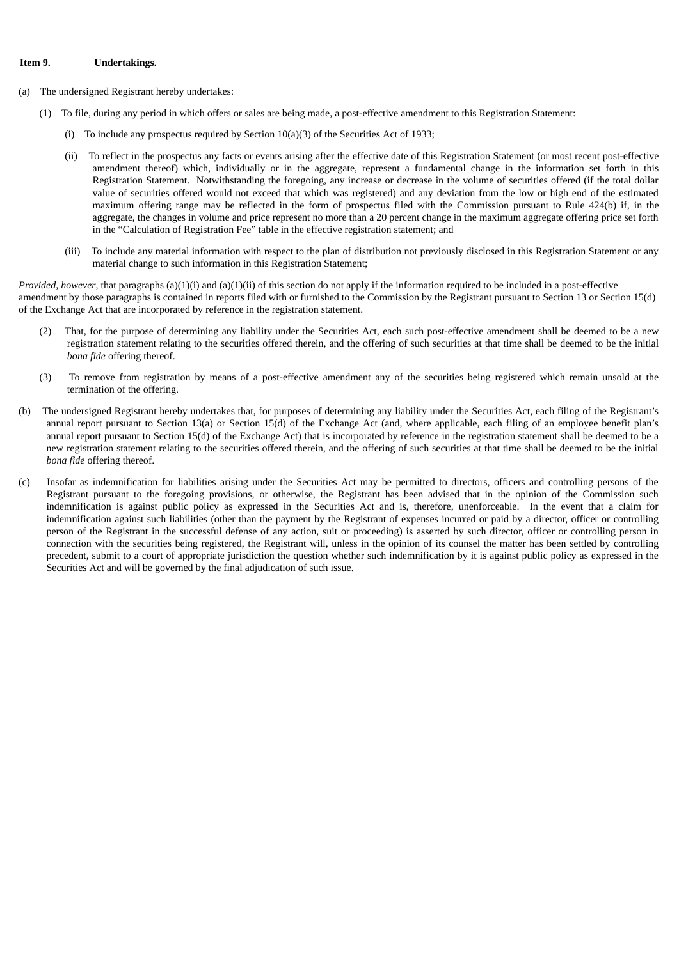#### **Item 9. Undertakings.**

- (a) The undersigned Registrant hereby undertakes:
	- (1) To file, during any period in which offers or sales are being made, a post-effective amendment to this Registration Statement:
		- (i) To include any prospectus required by Section  $10(a)(3)$  of the Securities Act of 1933;
		- (ii) To reflect in the prospectus any facts or events arising after the effective date of this Registration Statement (or most recent post-effective amendment thereof) which, individually or in the aggregate, represent a fundamental change in the information set forth in this Registration Statement. Notwithstanding the foregoing, any increase or decrease in the volume of securities offered (if the total dollar value of securities offered would not exceed that which was registered) and any deviation from the low or high end of the estimated maximum offering range may be reflected in the form of prospectus filed with the Commission pursuant to Rule 424(b) if, in the aggregate, the changes in volume and price represent no more than a 20 percent change in the maximum aggregate offering price set forth in the "Calculation of Registration Fee" table in the effective registration statement; and
		- (iii) To include any material information with respect to the plan of distribution not previously disclosed in this Registration Statement or any material change to such information in this Registration Statement;

*Provided, however*, that paragraphs (a)(1)(i) and (a)(1)(ii) of this section do not apply if the information required to be included in a post-effective amendment by those paragraphs is contained in reports filed with or furnished to the Commission by the Registrant pursuant to Section 13 or Section 15(d) of the Exchange Act that are incorporated by reference in the registration statement.

- That, for the purpose of determining any liability under the Securities Act, each such post-effective amendment shall be deemed to be a new registration statement relating to the securities offered therein, and the offering of such securities at that time shall be deemed to be the initial *bona fide* offering thereof.
- (3) To remove from registration by means of a post-effective amendment any of the securities being registered which remain unsold at the termination of the offering.
- (b) The undersigned Registrant hereby undertakes that, for purposes of determining any liability under the Securities Act, each filing of the Registrant's annual report pursuant to Section 13(a) or Section 15(d) of the Exchange Act (and, where applicable, each filing of an employee benefit plan's annual report pursuant to Section 15(d) of the Exchange Act) that is incorporated by reference in the registration statement shall be deemed to be a new registration statement relating to the securities offered therein, and the offering of such securities at that time shall be deemed to be the initial *bona fide* offering thereof.
- (c) Insofar as indemnification for liabilities arising under the Securities Act may be permitted to directors, officers and controlling persons of the Registrant pursuant to the foregoing provisions, or otherwise, the Registrant has been advised that in the opinion of the Commission such indemnification is against public policy as expressed in the Securities Act and is, therefore, unenforceable. In the event that a claim for indemnification against such liabilities (other than the payment by the Registrant of expenses incurred or paid by a director, officer or controlling person of the Registrant in the successful defense of any action, suit or proceeding) is asserted by such director, officer or controlling person in connection with the securities being registered, the Registrant will, unless in the opinion of its counsel the matter has been settled by controlling precedent, submit to a court of appropriate jurisdiction the question whether such indemnification by it is against public policy as expressed in the Securities Act and will be governed by the final adjudication of such issue.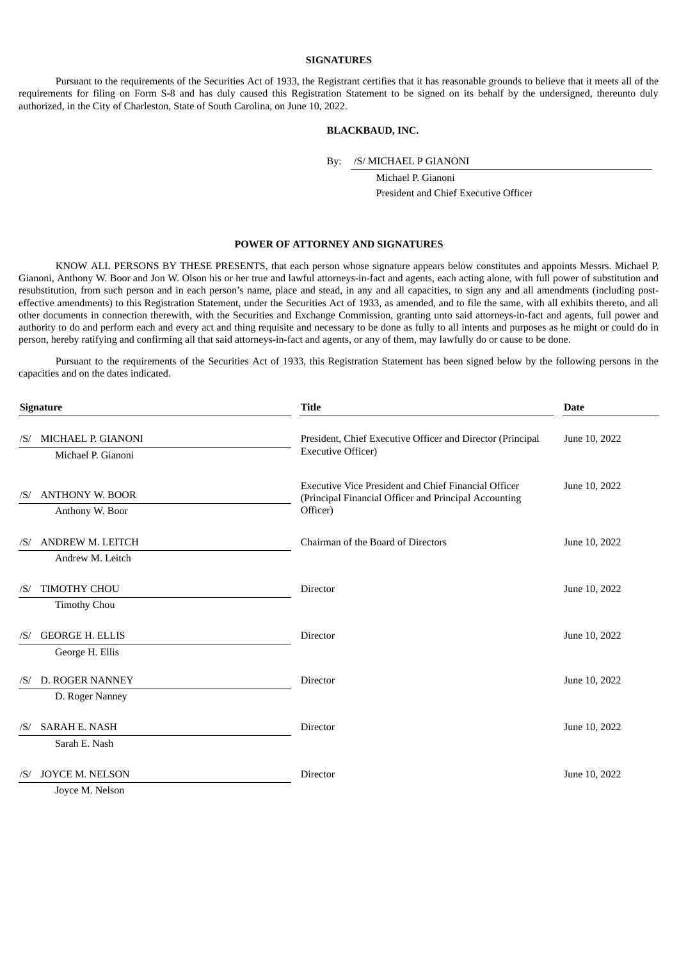# **SIGNATURES**

Pursuant to the requirements of the Securities Act of 1933, the Registrant certifies that it has reasonable grounds to believe that it meets all of the requirements for filing on Form S-8 and has duly caused this Registration Statement to be signed on its behalf by the undersigned, thereunto duly authorized, in the City of Charleston, State of South Carolina, on June 10, 2022.

## **BLACKBAUD, INC.**

By: /S/ MICHAEL P GIANONI

Michael P. Gianoni President and Chief Executive Officer

# **POWER OF ATTORNEY AND SIGNATURES**

<span id="page-4-0"></span>KNOW ALL PERSONS BY THESE PRESENTS, that each person whose signature appears below constitutes and appoints Messrs. Michael P. Gianoni, Anthony W. Boor and Jon W. Olson his or her true and lawful attorneys-in-fact and agents, each acting alone, with full power of substitution and resubstitution, from such person and in each person's name, place and stead, in any and all capacities, to sign any and all amendments (including posteffective amendments) to this Registration Statement, under the Securities Act of 1933, as amended, and to file the same, with all exhibits thereto, and all other documents in connection therewith, with the Securities and Exchange Commission, granting unto said attorneys-in-fact and agents, full power and authority to do and perform each and every act and thing requisite and necessary to be done as fully to all intents and purposes as he might or could do in person, hereby ratifying and confirming all that said attorneys-in-fact and agents, or any of them, may lawfully do or cause to be done.

Pursuant to the requirements of the Securities Act of 1933, this Registration Statement has been signed below by the following persons in the capacities and on the dates indicated.

| <b>Signature</b> |                         | <b>Title</b>                                                                                                         | <b>Date</b>   |  |
|------------------|-------------------------|----------------------------------------------------------------------------------------------------------------------|---------------|--|
| /S/              | MICHAEL P. GIANONI      | President, Chief Executive Officer and Director (Principal<br><b>Executive Officer)</b>                              | June 10, 2022 |  |
|                  | Michael P. Gianoni      |                                                                                                                      |               |  |
| /S/              | <b>ANTHONY W. BOOR</b>  | <b>Executive Vice President and Chief Financial Officer</b><br>(Principal Financial Officer and Principal Accounting | June 10, 2022 |  |
|                  | Anthony W. Boor         | Officer)                                                                                                             |               |  |
| /S/              | <b>ANDREW M. LEITCH</b> | Chairman of the Board of Directors                                                                                   | June 10, 2022 |  |
|                  | Andrew M. Leitch        |                                                                                                                      |               |  |
| /S/              | <b>TIMOTHY CHOU</b>     | Director                                                                                                             | June 10, 2022 |  |
|                  | <b>Timothy Chou</b>     |                                                                                                                      |               |  |
| /S/              | <b>GEORGE H. ELLIS</b>  | Director                                                                                                             | June 10, 2022 |  |
|                  | George H. Ellis         |                                                                                                                      |               |  |
| /S/              | <b>D. ROGER NANNEY</b>  | Director                                                                                                             | June 10, 2022 |  |
|                  | D. Roger Nanney         |                                                                                                                      |               |  |
| /S/              | <b>SARAH E. NASH</b>    | <b>Director</b>                                                                                                      | June 10, 2022 |  |
|                  | Sarah E. Nash           |                                                                                                                      |               |  |
| /S/              | <b>JOYCE M. NELSON</b>  | Director                                                                                                             | June 10, 2022 |  |
|                  | Jovce M. Nelson         |                                                                                                                      |               |  |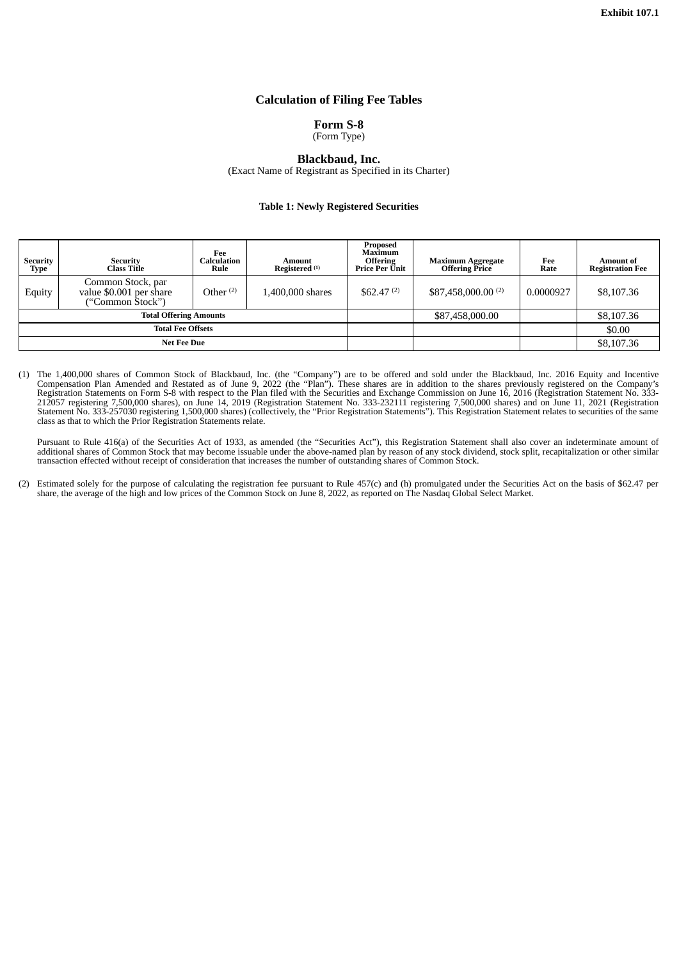# **Calculation of Filing Fee Tables**

#### **Form S-8** (Form Type)

#### **Blackbaud, Inc.**

(Exact Name of Registrant as Specified in its Charter)

#### **Table 1: Newly Registered Securities**

<span id="page-5-0"></span>

| <b>Security</b><br>Type <sup>-</sup> | Security<br><b>Class Title</b>                                   | Fee<br>Calculation<br>Rule | Amount<br>Registered <sup>(1)</sup> | Proposed<br>Maximum<br><b>Offering</b><br>Price Per Ūnit | <b>Maximum Aggregate<br/>Offering Price</b> | Fee<br>Rate | <b>Amount of</b><br><b>Registration Fee</b> |
|--------------------------------------|------------------------------------------------------------------|----------------------------|-------------------------------------|----------------------------------------------------------|---------------------------------------------|-------------|---------------------------------------------|
| Equity                               | Common Stock, par<br>value \$0.001 per share<br>("Common Stock") | Other <sup>(2)</sup>       | 1,400,000 shares                    | $$62.47^{(2)}$$                                          | \$87,458,000.00 (2)                         | 0.0000927   | \$8,107.36                                  |
| <b>Total Offering Amounts</b>        |                                                                  |                            |                                     |                                                          | \$87,458,000.00                             |             | \$8,107.36                                  |
| <b>Total Fee Offsets</b>             |                                                                  |                            |                                     |                                                          |                                             |             | \$0.00                                      |
|                                      | <b>Net Fee Due</b>                                               |                            |                                     |                                                          |                                             |             | \$8,107.36                                  |

(1) The 1,400,000 shares of Common Stock of Blackbaud, Inc. (the "Company") are to be offered and sold under the Blackbaud, Inc. 2016 Equity and Incentive Compensation Plan Amended and Restated as of June 9, 2022 (the "Plan"). These shares are in addition to the shares previously registered on the Company's Registration Statements on Form S-8 with respect to the Plan filed with the Securities and Exchange Commission on June 16, 2016 (Registration Statement No. 333- 212057 registering 7,500,000 shares), on June 14, 2019 (Registration Statement No. 333-232111 registering 7,500,000 shares) and on June 11, 2021 (Registration Statement No. 333-257030 registering 1,500,000 shares) (collectively, the "Prior Registration Statements"). This Registration Statement relates to securities of the same class as that to which the Prior Registration Statements relate.

Pursuant to Rule 416(a) of the Securities Act of 1933, as amended (the "Securities Act"), this Registration Statement shall also cover an indeterminate amount of additional shares of Common Stock that may become issuable under the above-named plan by reason of any stock dividend, stock split, recapitalization or other similar transaction effected without receipt of consideration that increases the number of outstanding shares of Common Stock.

(2) Estimated solely for the purpose of calculating the registration fee pursuant to Rule 457(c) and (h) promulgated under the Securities Act on the basis of \$62.47 per share, the average of the high and low prices of the Common Stock on June 8, 2022, as reported on The Nasdaq Global Select Market.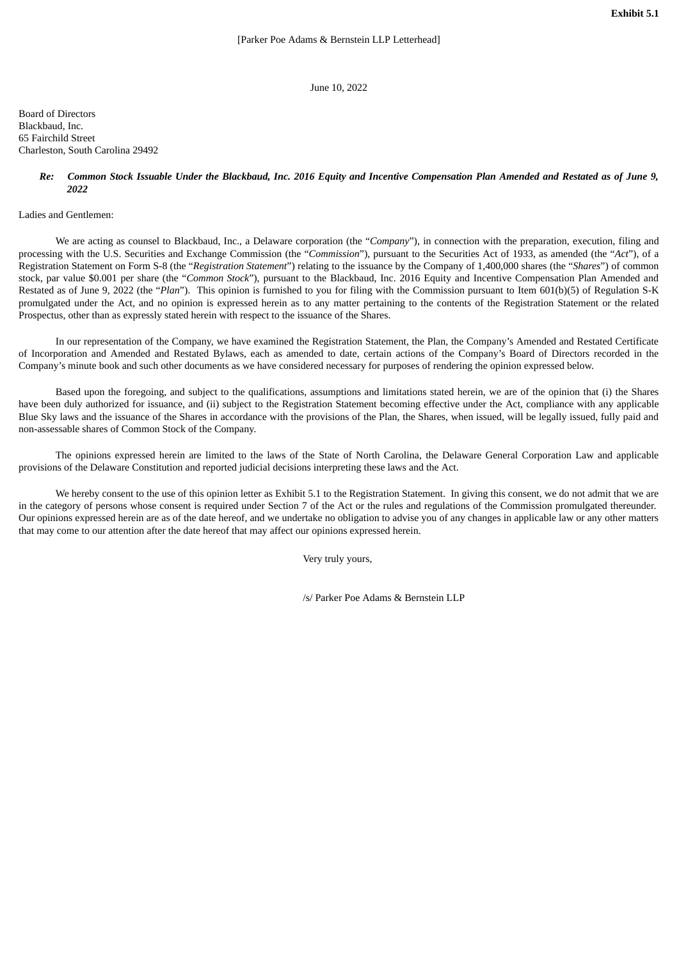June 10, 2022

<span id="page-6-0"></span>Board of Directors Blackbaud, Inc. 65 Fairchild Street Charleston, South Carolina 29492

#### Re: Common Stock Issuable Under the Blackbaud, Inc. 2016 Equity and Incentive Compensation Plan Amended and Restated as of June 9, *2022*

Ladies and Gentlemen:

We are acting as counsel to Blackbaud, Inc., a Delaware corporation (the "*Company*"), in connection with the preparation, execution, filing and processing with the U.S. Securities and Exchange Commission (the "*Commission*"), pursuant to the Securities Act of 1933, as amended (the "*Act*"), of a Registration Statement on Form S-8 (the "*Registration Statement*") relating to the issuance by the Company of 1,400,000 shares (the "*Shares*") of common stock, par value \$0.001 per share (the "*Common Stock*"), pursuant to the Blackbaud, Inc. 2016 Equity and Incentive Compensation Plan Amended and Restated as of June 9, 2022 (the "*Plan*"). This opinion is furnished to you for filing with the Commission pursuant to Item 601(b)(5) of Regulation S-K promulgated under the Act, and no opinion is expressed herein as to any matter pertaining to the contents of the Registration Statement or the related Prospectus, other than as expressly stated herein with respect to the issuance of the Shares.

In our representation of the Company, we have examined the Registration Statement, the Plan, the Company's Amended and Restated Certificate of Incorporation and Amended and Restated Bylaws, each as amended to date, certain actions of the Company's Board of Directors recorded in the Company's minute book and such other documents as we have considered necessary for purposes of rendering the opinion expressed below.

Based upon the foregoing, and subject to the qualifications, assumptions and limitations stated herein, we are of the opinion that (i) the Shares have been duly authorized for issuance, and (ii) subject to the Registration Statement becoming effective under the Act, compliance with any applicable Blue Sky laws and the issuance of the Shares in accordance with the provisions of the Plan, the Shares, when issued, will be legally issued, fully paid and non-assessable shares of Common Stock of the Company.

The opinions expressed herein are limited to the laws of the State of North Carolina, the Delaware General Corporation Law and applicable provisions of the Delaware Constitution and reported judicial decisions interpreting these laws and the Act.

We hereby consent to the use of this opinion letter as Exhibit 5.1 to the Registration Statement. In giving this consent, we do not admit that we are in the category of persons whose consent is required under Section 7 of the Act or the rules and regulations of the Commission promulgated thereunder. Our opinions expressed herein are as of the date hereof, and we undertake no obligation to advise you of any changes in applicable law or any other matters that may come to our attention after the date hereof that may affect our opinions expressed herein.

Very truly yours,

/s/ Parker Poe Adams & Bernstein LLP